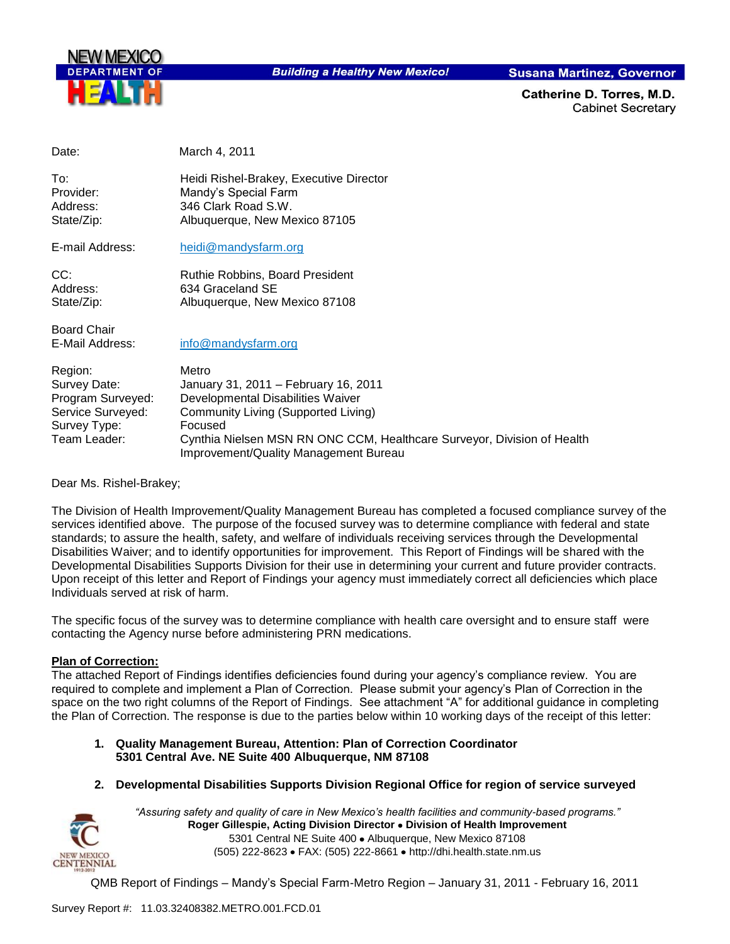

**Building a Healthy New Mexico!** 

**Susana Martinez, Governor** 

Catherine D. Torres, M.D. **Cabinet Secretary** 

Date: March 4, 2011

| To∶<br>Provider: | Heidi Rishel-Brakey, Executive Director<br>Mandy's Special Farm |
|------------------|-----------------------------------------------------------------|
| Address:         | 346 Clark Road S.W.                                             |
| State/Zip:       | Albuquerque, New Mexico 87105                                   |

E-mail Address: [heidi@mandysfarm.org](mailto:heidi@mandysfarm.org)

| CC:        | <b>Ruthie Robbins, Board President</b> |
|------------|----------------------------------------|
| Address:   | 634 Graceland SE                       |
| State/Zip: | Albuquerque, New Mexico 87108          |

Board Chair

E-Mail Address: [info@mandysfarm.org](mailto:info@mandysfarm.org)

| Region:           | Metro                                                                                                            |
|-------------------|------------------------------------------------------------------------------------------------------------------|
| Survey Date:      | January 31, 2011 - February 16, 2011                                                                             |
| Program Surveyed: | Developmental Disabilities Waiver                                                                                |
| Service Surveyed: | Community Living (Supported Living)                                                                              |
| Survey Type:      | Focused                                                                                                          |
| Team Leader:      | Cynthia Nielsen MSN RN ONC CCM, Healthcare Surveyor, Division of Health<br>Improvement/Quality Management Bureau |

Dear Ms. Rishel-Brakey;

The Division of Health Improvement/Quality Management Bureau has completed a focused compliance survey of the services identified above. The purpose of the focused survey was to determine compliance with federal and state standards; to assure the health, safety, and welfare of individuals receiving services through the Developmental Disabilities Waiver; and to identify opportunities for improvement. This Report of Findings will be shared with the Developmental Disabilities Supports Division for their use in determining your current and future provider contracts. Upon receipt of this letter and Report of Findings your agency must immediately correct all deficiencies which place Individuals served at risk of harm.

The specific focus of the survey was to determine compliance with health care oversight and to ensure staff were contacting the Agency nurse before administering PRN medications.

#### **Plan of Correction:**

The attached Report of Findings identifies deficiencies found during your agency's compliance review. You are required to complete and implement a Plan of Correction. Please submit your agency's Plan of Correction in the space on the two right columns of the Report of Findings. See attachment "A" for additional guidance in completing the Plan of Correction. The response is due to the parties below within 10 working days of the receipt of this letter:

- **1. Quality Management Bureau, Attention: Plan of Correction Coordinator 5301 Central Ave. NE Suite 400 Albuquerque, NM 87108**
- **2. Developmental Disabilities Supports Division Regional Office for region of service surveyed**



*"Assuring safety and quality of care in New Mexico's health facilities and community-based programs."* **Roger Gillespie, Acting Division Director • Division of Health Improvement** 5301 Central NE Suite 400 · Albuquerque, New Mexico 87108 (505) 222-8623 • FAX: (505) 222-8661 • http://dhi.health.state.nm.us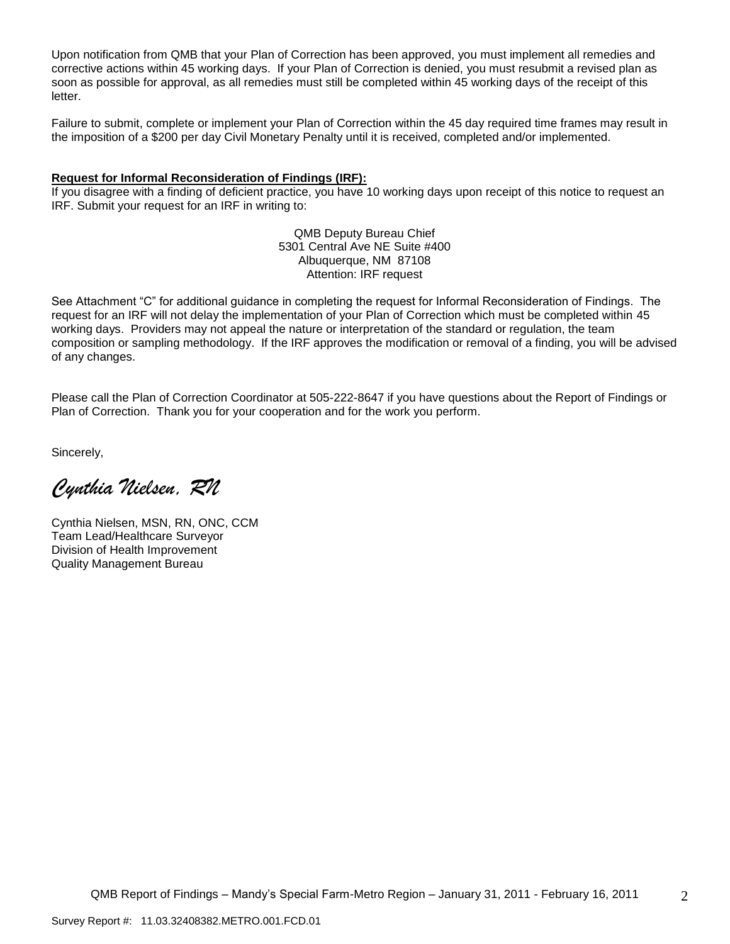Upon notification from QMB that your Plan of Correction has been approved, you must implement all remedies and corrective actions within 45 working days. If your Plan of Correction is denied, you must resubmit a revised plan as soon as possible for approval, as all remedies must still be completed within 45 working days of the receipt of this letter.

Failure to submit, complete or implement your Plan of Correction within the 45 day required time frames may result in the imposition of a \$200 per day Civil Monetary Penalty until it is received, completed and/or implemented.

#### **Request for Informal Reconsideration of Findings (IRF):**

If you disagree with a finding of deficient practice, you have 10 working days upon receipt of this notice to request an IRF. Submit your request for an IRF in writing to:

> QMB Deputy Bureau Chief 5301 Central Ave NE Suite #400 Albuquerque, NM 87108 Attention: IRF request

See Attachment "C" for additional guidance in completing the request for Informal Reconsideration of Findings. The request for an IRF will not delay the implementation of your Plan of Correction which must be completed within 45 working days. Providers may not appeal the nature or interpretation of the standard or regulation, the team composition or sampling methodology. If the IRF approves the modification or removal of a finding, you will be advised of any changes.

Please call the Plan of Correction Coordinator at 505-222-8647 if you have questions about the Report of Findings or Plan of Correction. Thank you for your cooperation and for the work you perform.

Sincerely,

*Cynthia Nielsen, RN*

Cynthia Nielsen, MSN, RN, ONC, CCM Team Lead/Healthcare Surveyor Division of Health Improvement Quality Management Bureau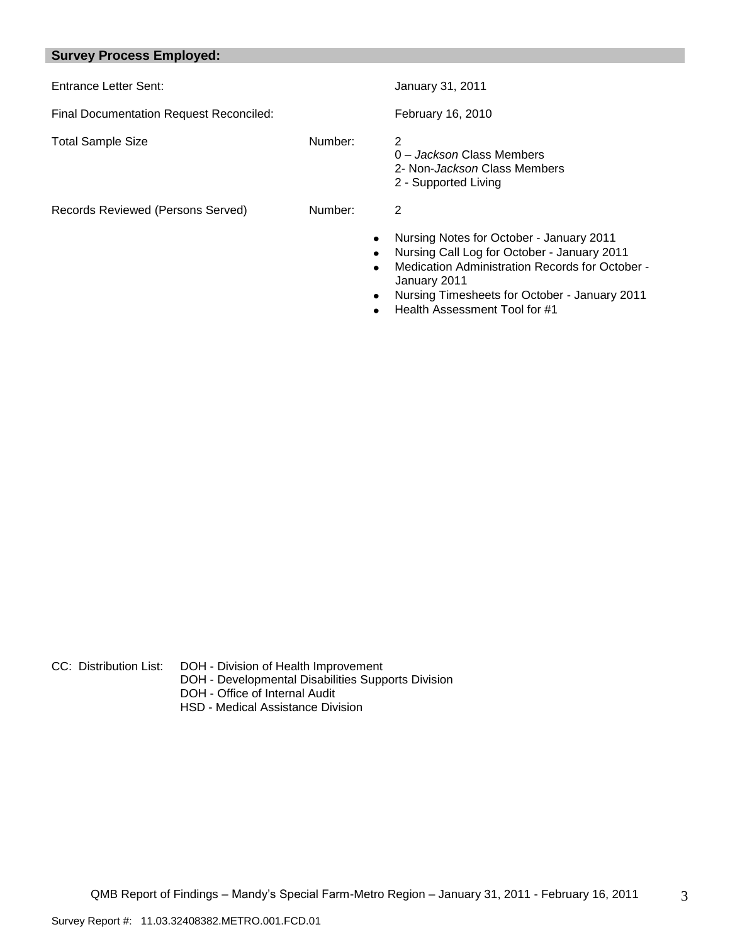# **Survey Process Employed:**

| Entrance Letter Sent:                          |         | January 31, 2011                                                                                                                                                                                                                                                    |
|------------------------------------------------|---------|---------------------------------------------------------------------------------------------------------------------------------------------------------------------------------------------------------------------------------------------------------------------|
| <b>Final Documentation Request Reconciled:</b> |         | February 16, 2010                                                                                                                                                                                                                                                   |
| <b>Total Sample Size</b>                       | Number: | 2<br>0 - Jackson Class Members<br>2- Non- <i>Jackson</i> Class Members<br>2 - Supported Living                                                                                                                                                                      |
| Records Reviewed (Persons Served)              | Number: | 2<br>Nursing Notes for October - January 2011<br>Nursing Call Log for October - January 2011<br>Medication Administration Records for October -<br>$\bullet$<br>January 2011<br>Nursing Timesheets for October - January 2011<br>٠<br>Health Assessment Tool for #1 |

- CC: Distribution List: DOH Division of Health Improvement
	- DOH Developmental Disabilities Supports Division
	- DOH Office of Internal Audit
	- HSD Medical Assistance Division

3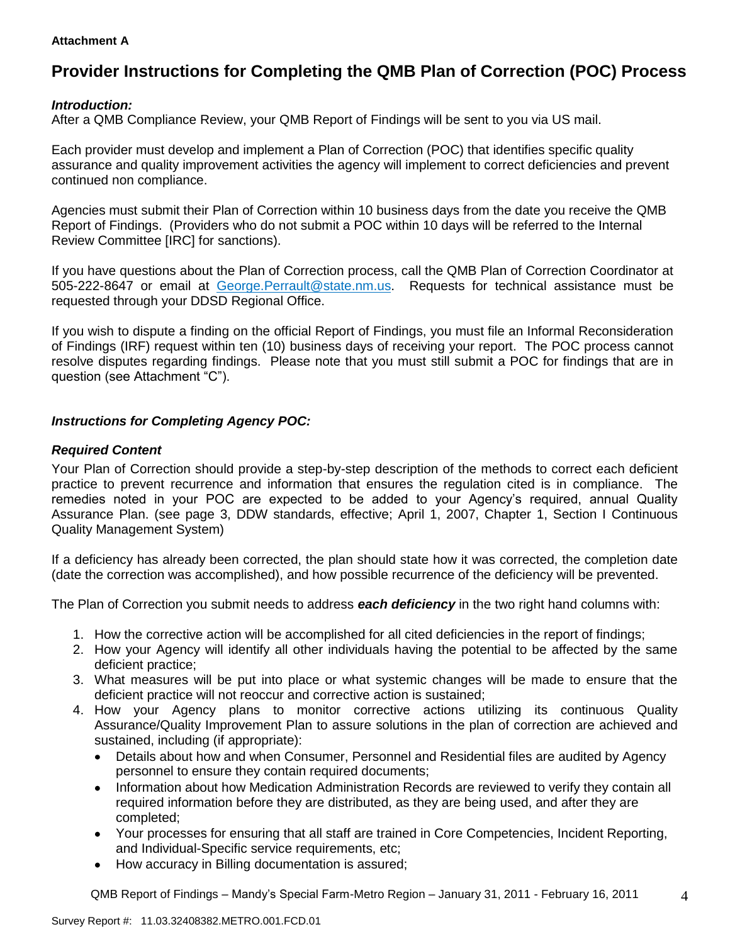#### **Attachment A**

# **Provider Instructions for Completing the QMB Plan of Correction (POC) Process**

## *Introduction:*

After a QMB Compliance Review, your QMB Report of Findings will be sent to you via US mail.

Each provider must develop and implement a Plan of Correction (POC) that identifies specific quality assurance and quality improvement activities the agency will implement to correct deficiencies and prevent continued non compliance.

Agencies must submit their Plan of Correction within 10 business days from the date you receive the QMB Report of Findings. (Providers who do not submit a POC within 10 days will be referred to the Internal Review Committee [IRC] for sanctions).

If you have questions about the Plan of Correction process, call the QMB Plan of Correction Coordinator at 505-222-8647 or email at George.Perrault@state.nm.us. Requests for technical assistance must be requested through your DDSD Regional Office.

If you wish to dispute a finding on the official Report of Findings, you must file an Informal Reconsideration of Findings (IRF) request within ten (10) business days of receiving your report. The POC process cannot resolve disputes regarding findings. Please note that you must still submit a POC for findings that are in question (see Attachment "C").

## *Instructions for Completing Agency POC:*

#### *Required Content*

Your Plan of Correction should provide a step-by-step description of the methods to correct each deficient practice to prevent recurrence and information that ensures the regulation cited is in compliance. The remedies noted in your POC are expected to be added to your Agency's required, annual Quality Assurance Plan. (see page 3, DDW standards, effective; April 1, 2007, Chapter 1, Section I Continuous Quality Management System)

If a deficiency has already been corrected, the plan should state how it was corrected, the completion date (date the correction was accomplished), and how possible recurrence of the deficiency will be prevented.

The Plan of Correction you submit needs to address *each deficiency* in the two right hand columns with:

- 1. How the corrective action will be accomplished for all cited deficiencies in the report of findings;
- 2. How your Agency will identify all other individuals having the potential to be affected by the same deficient practice;
- 3. What measures will be put into place or what systemic changes will be made to ensure that the deficient practice will not reoccur and corrective action is sustained;
- 4. How your Agency plans to monitor corrective actions utilizing its continuous Quality Assurance/Quality Improvement Plan to assure solutions in the plan of correction are achieved and sustained, including (if appropriate):
	- Details about how and when Consumer, Personnel and Residential files are audited by Agency  $\bullet$ personnel to ensure they contain required documents;
	- Information about how Medication Administration Records are reviewed to verify they contain all  $\bullet$ required information before they are distributed, as they are being used, and after they are completed;
	- Your processes for ensuring that all staff are trained in Core Competencies, Incident Reporting, and Individual-Specific service requirements, etc;
	- How accuracy in Billing documentation is assured;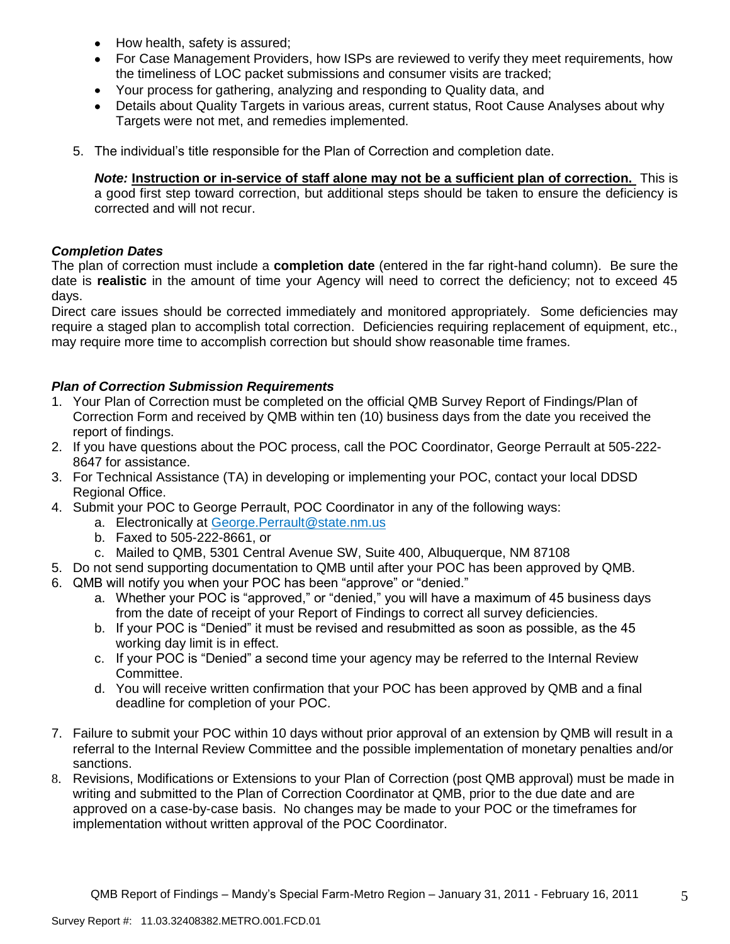- How health, safety is assured;
- For Case Management Providers, how ISPs are reviewed to verify they meet requirements, how the timeliness of LOC packet submissions and consumer visits are tracked;
- $\bullet$ Your process for gathering, analyzing and responding to Quality data, and
- Details about Quality Targets in various areas, current status, Root Cause Analyses about why Targets were not met, and remedies implemented.
- 5. The individual's title responsible for the Plan of Correction and completion date.

*Note:* **Instruction or in-service of staff alone may not be a sufficient plan of correction.** This is a good first step toward correction, but additional steps should be taken to ensure the deficiency is corrected and will not recur.

#### *Completion Dates*

The plan of correction must include a **completion date** (entered in the far right-hand column). Be sure the date is **realistic** in the amount of time your Agency will need to correct the deficiency; not to exceed 45 days.

Direct care issues should be corrected immediately and monitored appropriately. Some deficiencies may require a staged plan to accomplish total correction. Deficiencies requiring replacement of equipment, etc., may require more time to accomplish correction but should show reasonable time frames.

## *Plan of Correction Submission Requirements*

- 1. Your Plan of Correction must be completed on the official QMB Survey Report of Findings/Plan of Correction Form and received by QMB within ten (10) business days from the date you received the report of findings.
- 2. If you have questions about the POC process, call the POC Coordinator, George Perrault at 505-222- 8647 for assistance.
- 3. For Technical Assistance (TA) in developing or implementing your POC, contact your local DDSD Regional Office.
- 4. Submit your POC to George Perrault, POC Coordinator in any of the following ways:
	- a. Electronically at [George.Perrault@state.nm.us](mailto:George.Perrault@state.nm.us)
	- b. Faxed to 505-222-8661, or
	- c. Mailed to QMB, 5301 Central Avenue SW, Suite 400, Albuquerque, NM 87108
- 5. Do not send supporting documentation to QMB until after your POC has been approved by QMB.
- 6. QMB will notify you when your POC has been "approve" or "denied."
	- a. Whether your POC is "approved," or "denied," you will have a maximum of 45 business days from the date of receipt of your Report of Findings to correct all survey deficiencies.
	- b. If your POC is "Denied" it must be revised and resubmitted as soon as possible, as the 45 working day limit is in effect.
	- c. If your POC is "Denied" a second time your agency may be referred to the Internal Review Committee.
	- d. You will receive written confirmation that your POC has been approved by QMB and a final deadline for completion of your POC.
- 7. Failure to submit your POC within 10 days without prior approval of an extension by QMB will result in a referral to the Internal Review Committee and the possible implementation of monetary penalties and/or sanctions.
- 8. Revisions, Modifications or Extensions to your Plan of Correction (post QMB approval) must be made in writing and submitted to the Plan of Correction Coordinator at QMB, prior to the due date and are approved on a case-by-case basis. No changes may be made to your POC or the timeframes for implementation without written approval of the POC Coordinator.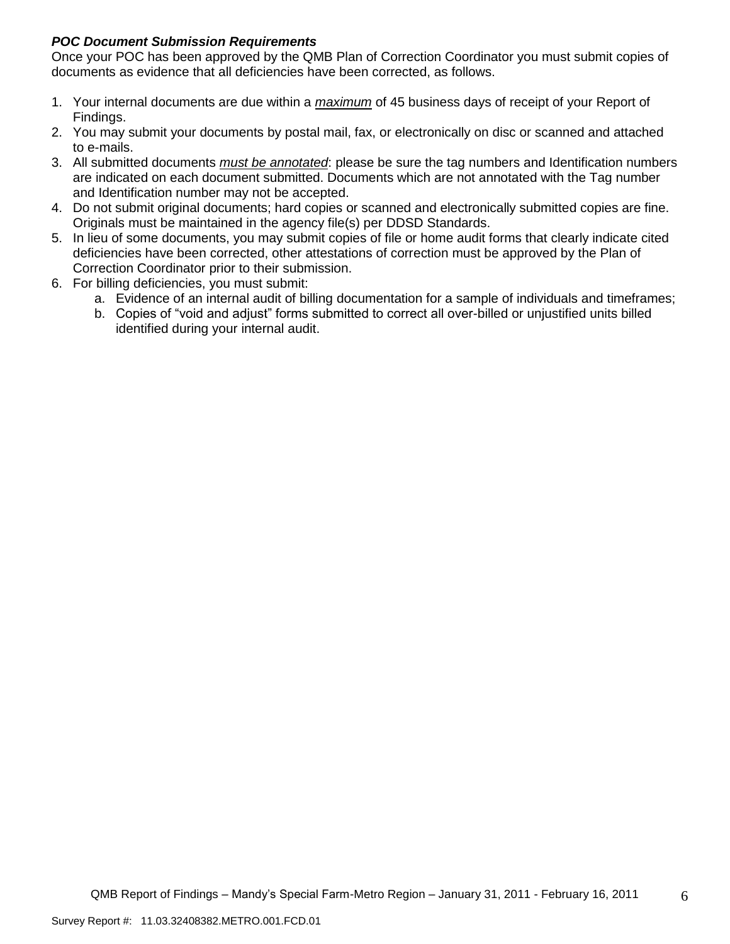# *POC Document Submission Requirements*

Once your POC has been approved by the QMB Plan of Correction Coordinator you must submit copies of documents as evidence that all deficiencies have been corrected, as follows.

- 1. Your internal documents are due within a *maximum* of 45 business days of receipt of your Report of Findings.
- 2. You may submit your documents by postal mail, fax, or electronically on disc or scanned and attached to e-mails.
- 3. All submitted documents *must be annotated*: please be sure the tag numbers and Identification numbers are indicated on each document submitted. Documents which are not annotated with the Tag number and Identification number may not be accepted.
- 4. Do not submit original documents; hard copies or scanned and electronically submitted copies are fine. Originals must be maintained in the agency file(s) per DDSD Standards.
- 5. In lieu of some documents, you may submit copies of file or home audit forms that clearly indicate cited deficiencies have been corrected, other attestations of correction must be approved by the Plan of Correction Coordinator prior to their submission.
- 6. For billing deficiencies, you must submit:
	- a. Evidence of an internal audit of billing documentation for a sample of individuals and timeframes;
	- b. Copies of "void and adjust" forms submitted to correct all over-billed or unjustified units billed identified during your internal audit.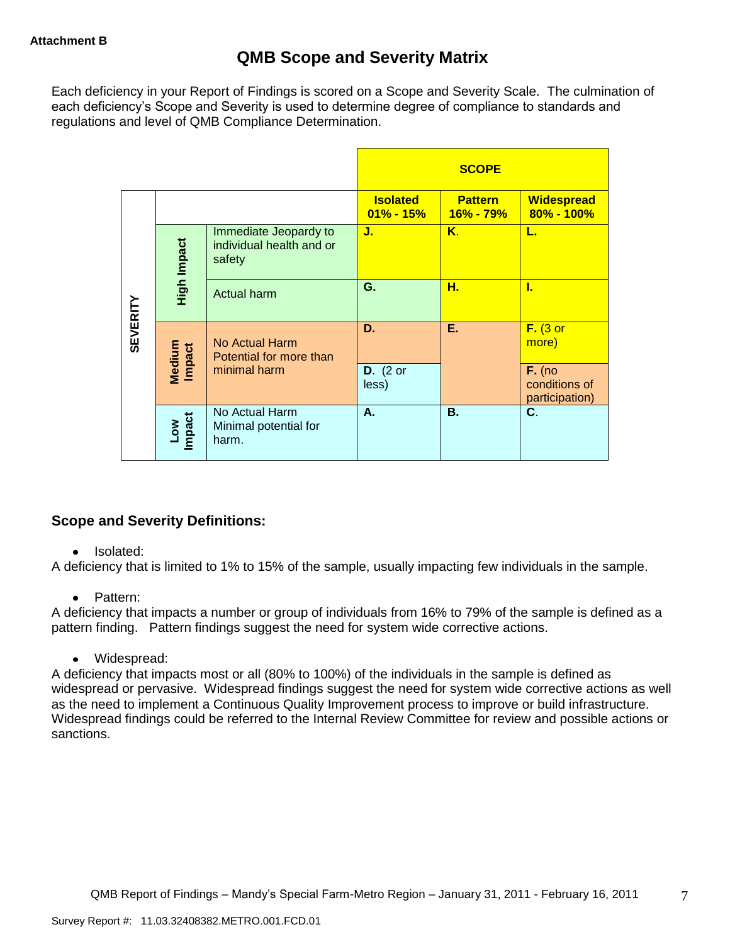Each deficiency in your Report of Findings is scored on a Scope and Severity Scale. The culmination of each deficiency's Scope and Severity is used to determine degree of compliance to standards and regulations and level of QMB Compliance Determination.

|                 |                      |                                                             |                                  | <b>SCOPE</b>                    |                                             |
|-----------------|----------------------|-------------------------------------------------------------|----------------------------------|---------------------------------|---------------------------------------------|
|                 |                      |                                                             | <b>Isolated</b><br>$01\% - 15\%$ | <b>Pattern</b><br>$16\% - 79\%$ | <b>Widespread</b><br>$80\% - 100\%$         |
|                 | High Impact          | Immediate Jeopardy to<br>individual health and or<br>safety | J.                               | $K_{\cdot}$                     | L.                                          |
|                 |                      | <b>Actual harm</b>                                          | G.                               | н.                              | L                                           |
| <b>SEVERITY</b> | Medium<br>Impact     | No Actual Harm<br>Potential for more than                   | D.                               | Е.                              | $F.$ (3 or<br>more)                         |
|                 |                      | minimal harm                                                | $D.$ (2 or<br>less)              |                                 | $F.$ (no<br>conditions of<br>participation) |
|                 | <b>Impact</b><br>mo7 | No Actual Harm<br>Minimal potential for<br>harm.            | А.                               | <b>B.</b>                       | C.                                          |

# **Scope and Severity Definitions:**

## • Isolated:

A deficiency that is limited to 1% to 15% of the sample, usually impacting few individuals in the sample.

## • Pattern:

A deficiency that impacts a number or group of individuals from 16% to 79% of the sample is defined as a pattern finding. Pattern findings suggest the need for system wide corrective actions.

Widespread:

A deficiency that impacts most or all (80% to 100%) of the individuals in the sample is defined as widespread or pervasive. Widespread findings suggest the need for system wide corrective actions as well as the need to implement a Continuous Quality Improvement process to improve or build infrastructure. Widespread findings could be referred to the Internal Review Committee for review and possible actions or sanctions.

7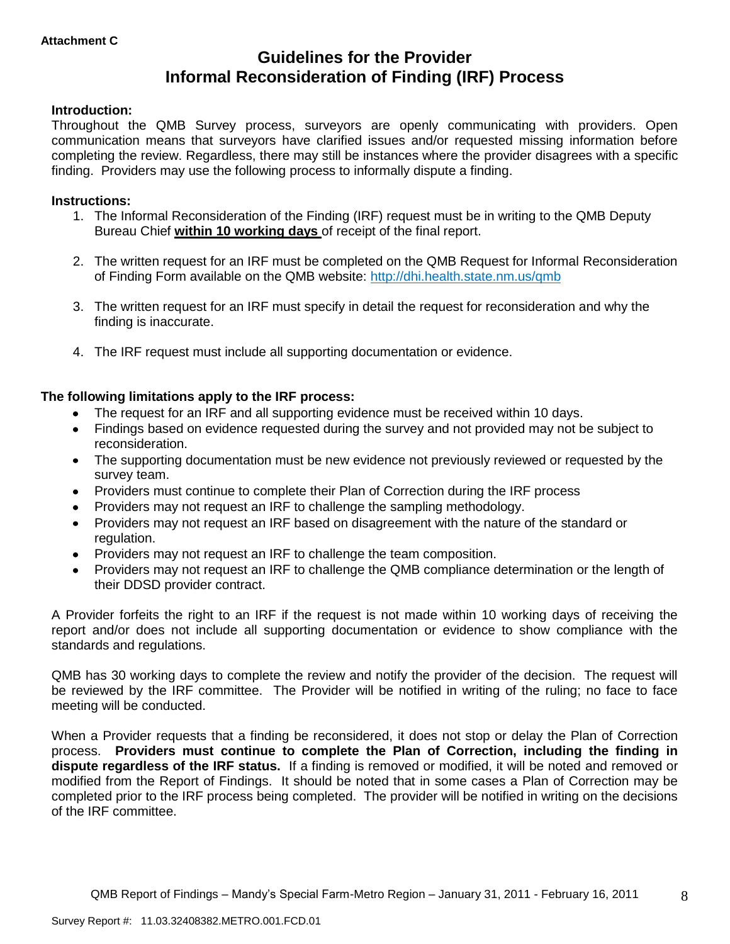# **Guidelines for the Provider Informal Reconsideration of Finding (IRF) Process**

#### **Introduction:**

Throughout the QMB Survey process, surveyors are openly communicating with providers. Open communication means that surveyors have clarified issues and/or requested missing information before completing the review. Regardless, there may still be instances where the provider disagrees with a specific finding. Providers may use the following process to informally dispute a finding.

#### **Instructions:**

- 1. The Informal Reconsideration of the Finding (IRF) request must be in writing to the QMB Deputy Bureau Chief **within 10 working days** of receipt of the final report.
- 2. The written request for an IRF must be completed on the QMB Request for Informal Reconsideration of Finding Form available on the QMB website: <http://dhi.health.state.nm.us/qmb>
- 3. The written request for an IRF must specify in detail the request for reconsideration and why the finding is inaccurate.
- 4. The IRF request must include all supporting documentation or evidence.

#### **The following limitations apply to the IRF process:**

- The request for an IRF and all supporting evidence must be received within 10 days.
- Findings based on evidence requested during the survey and not provided may not be subject to reconsideration.
- The supporting documentation must be new evidence not previously reviewed or requested by the  $\bullet$ survey team.
- Providers must continue to complete their Plan of Correction during the IRF process  $\bullet$
- Providers may not request an IRF to challenge the sampling methodology.
- Providers may not request an IRF based on disagreement with the nature of the standard or  $\bullet$ regulation.
- Providers may not request an IRF to challenge the team composition.
- Providers may not request an IRF to challenge the QMB compliance determination or the length of  $\bullet$ their DDSD provider contract.

A Provider forfeits the right to an IRF if the request is not made within 10 working days of receiving the report and/or does not include all supporting documentation or evidence to show compliance with the standards and regulations.

QMB has 30 working days to complete the review and notify the provider of the decision. The request will be reviewed by the IRF committee. The Provider will be notified in writing of the ruling; no face to face meeting will be conducted.

When a Provider requests that a finding be reconsidered, it does not stop or delay the Plan of Correction process. **Providers must continue to complete the Plan of Correction, including the finding in dispute regardless of the IRF status.** If a finding is removed or modified, it will be noted and removed or modified from the Report of Findings. It should be noted that in some cases a Plan of Correction may be completed prior to the IRF process being completed. The provider will be notified in writing on the decisions of the IRF committee.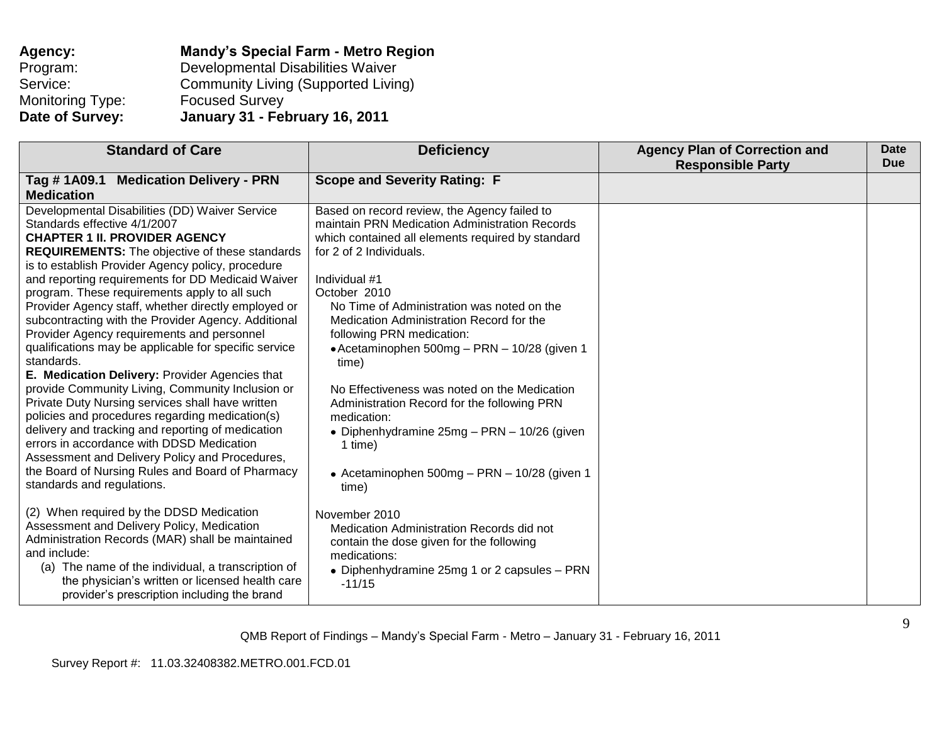| Agency:          | <b>Mandy's Special Farm - Metro Region</b> |
|------------------|--------------------------------------------|
| Program:         | Developmental Disabilities Waiver          |
| Service:         | <b>Community Living (Supported Living)</b> |
| Monitoring Type: | <b>Focused Survey</b>                      |
| Date of Survey:  | January 31 - February 16, 2011             |

| <b>Standard of Care</b>                                                                                                                                                                                                                                                                                                                                                                                                                                                                                                                                                                                                                                                                                                                                                                                                                                                                                                                                                                                                          | <b>Deficiency</b>                                                                                                                                                                                                                                                                                                                                                                                                                                                                                                                                                                                                                | <b>Agency Plan of Correction and</b><br><b>Responsible Party</b> | Date<br><b>Due</b> |
|----------------------------------------------------------------------------------------------------------------------------------------------------------------------------------------------------------------------------------------------------------------------------------------------------------------------------------------------------------------------------------------------------------------------------------------------------------------------------------------------------------------------------------------------------------------------------------------------------------------------------------------------------------------------------------------------------------------------------------------------------------------------------------------------------------------------------------------------------------------------------------------------------------------------------------------------------------------------------------------------------------------------------------|----------------------------------------------------------------------------------------------------------------------------------------------------------------------------------------------------------------------------------------------------------------------------------------------------------------------------------------------------------------------------------------------------------------------------------------------------------------------------------------------------------------------------------------------------------------------------------------------------------------------------------|------------------------------------------------------------------|--------------------|
| <b>Medication Delivery - PRN</b><br>Tag #1A09.1<br><b>Medication</b>                                                                                                                                                                                                                                                                                                                                                                                                                                                                                                                                                                                                                                                                                                                                                                                                                                                                                                                                                             | <b>Scope and Severity Rating: F</b>                                                                                                                                                                                                                                                                                                                                                                                                                                                                                                                                                                                              |                                                                  |                    |
| Developmental Disabilities (DD) Waiver Service<br>Standards effective 4/1/2007<br><b>CHAPTER 1 II. PROVIDER AGENCY</b><br><b>REQUIREMENTS:</b> The objective of these standards<br>is to establish Provider Agency policy, procedure<br>and reporting requirements for DD Medicaid Waiver<br>program. These requirements apply to all such<br>Provider Agency staff, whether directly employed or<br>subcontracting with the Provider Agency. Additional<br>Provider Agency requirements and personnel<br>qualifications may be applicable for specific service<br>standards.<br>E. Medication Delivery: Provider Agencies that<br>provide Community Living, Community Inclusion or<br>Private Duty Nursing services shall have written<br>policies and procedures regarding medication(s)<br>delivery and tracking and reporting of medication<br>errors in accordance with DDSD Medication<br>Assessment and Delivery Policy and Procedures,<br>the Board of Nursing Rules and Board of Pharmacy<br>standards and regulations. | Based on record review, the Agency failed to<br>maintain PRN Medication Administration Records<br>which contained all elements required by standard<br>for 2 of 2 Individuals.<br>Individual #1<br>October 2010<br>No Time of Administration was noted on the<br>Medication Administration Record for the<br>following PRN medication:<br>• Acetaminophen 500mg - PRN - 10/28 (given 1<br>time)<br>No Effectiveness was noted on the Medication<br>Administration Record for the following PRN<br>medication:<br>• Diphenhydramine 25mg - PRN - 10/26 (given<br>1 time)<br>• Acetaminophen 500mg - PRN - 10/28 (given 1<br>time) |                                                                  |                    |
| (2) When required by the DDSD Medication<br>Assessment and Delivery Policy, Medication<br>Administration Records (MAR) shall be maintained<br>and include:<br>(a) The name of the individual, a transcription of<br>the physician's written or licensed health care<br>provider's prescription including the brand                                                                                                                                                                                                                                                                                                                                                                                                                                                                                                                                                                                                                                                                                                               | November 2010<br>Medication Administration Records did not<br>contain the dose given for the following<br>medications:<br>• Diphenhydramine 25mg 1 or 2 capsules – PRN<br>$-11/15$                                                                                                                                                                                                                                                                                                                                                                                                                                               |                                                                  |                    |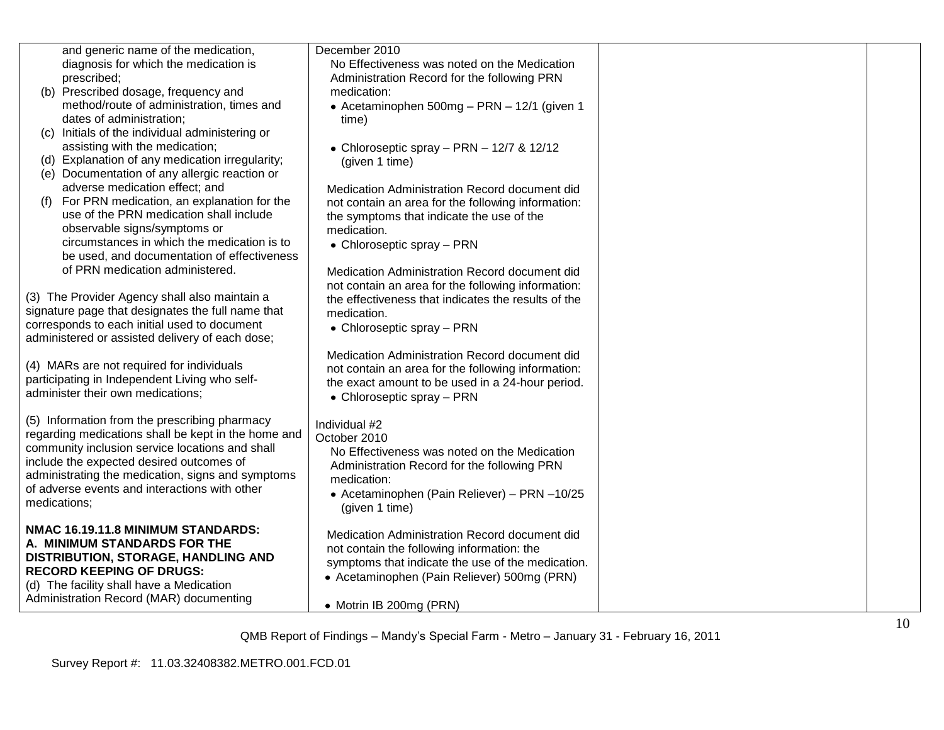| and generic name of the medication,<br>diagnosis for which the medication is               | December 2010<br>No Effectiveness was noted on the Medication |  |
|--------------------------------------------------------------------------------------------|---------------------------------------------------------------|--|
| prescribed;                                                                                | Administration Record for the following PRN                   |  |
| (b) Prescribed dosage, frequency and                                                       | medication:                                                   |  |
| method/route of administration, times and                                                  | • Acetaminophen 500mg - PRN - 12/1 (given 1                   |  |
| dates of administration;                                                                   | time)                                                         |  |
| (c) Initials of the individual administering or                                            |                                                               |  |
| assisting with the medication;                                                             | • Chloroseptic spray – PRN – $12/7$ & $12/12$                 |  |
| (d) Explanation of any medication irregularity;                                            | (given 1 time)                                                |  |
| (e) Documentation of any allergic reaction or                                              |                                                               |  |
| adverse medication effect; and<br>For PRN medication, an explanation for the               | Medication Administration Record document did                 |  |
| (f)<br>use of the PRN medication shall include                                             | not contain an area for the following information:            |  |
| observable signs/symptoms or                                                               | the symptoms that indicate the use of the<br>medication.      |  |
| circumstances in which the medication is to                                                | • Chloroseptic spray - PRN                                    |  |
| be used, and documentation of effectiveness                                                |                                                               |  |
| of PRN medication administered.                                                            | Medication Administration Record document did                 |  |
|                                                                                            | not contain an area for the following information:            |  |
| (3) The Provider Agency shall also maintain a                                              | the effectiveness that indicates the results of the           |  |
| signature page that designates the full name that                                          | medication.                                                   |  |
| corresponds to each initial used to document                                               | • Chloroseptic spray - PRN                                    |  |
| administered or assisted delivery of each dose;                                            |                                                               |  |
|                                                                                            | Medication Administration Record document did                 |  |
| (4) MARs are not required for individuals<br>participating in Independent Living who self- | not contain an area for the following information:            |  |
| administer their own medications;                                                          | the exact amount to be used in a 24-hour period.              |  |
|                                                                                            | • Chloroseptic spray - PRN                                    |  |
| (5) Information from the prescribing pharmacy                                              | Individual #2                                                 |  |
| regarding medications shall be kept in the home and                                        | October 2010                                                  |  |
| community inclusion service locations and shall                                            | No Effectiveness was noted on the Medication                  |  |
| include the expected desired outcomes of                                                   | Administration Record for the following PRN                   |  |
| administrating the medication, signs and symptoms                                          | medication:                                                   |  |
| of adverse events and interactions with other                                              | • Acetaminophen (Pain Reliever) - PRN -10/25                  |  |
| medications;                                                                               | (given 1 time)                                                |  |
| NMAC 16.19.11.8 MINIMUM STANDARDS:                                                         |                                                               |  |
| A. MINIMUM STANDARDS FOR THE                                                               | Medication Administration Record document did                 |  |
| DISTRIBUTION, STORAGE, HANDLING AND                                                        | not contain the following information: the                    |  |
| <b>RECORD KEEPING OF DRUGS:</b>                                                            | symptoms that indicate the use of the medication.             |  |
| (d) The facility shall have a Medication                                                   | • Acetaminophen (Pain Reliever) 500mg (PRN)                   |  |
| Administration Record (MAR) documenting                                                    |                                                               |  |
|                                                                                            | • Motrin IB 200mg (PRN)                                       |  |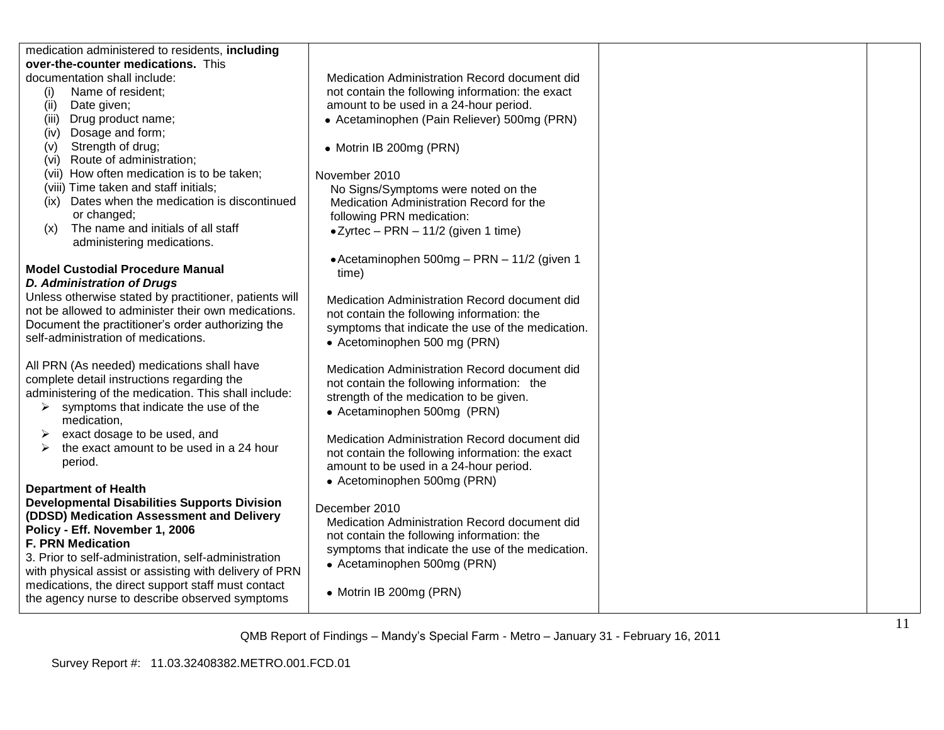| medication administered to residents, including        |                                                   |  |
|--------------------------------------------------------|---------------------------------------------------|--|
| over-the-counter medications. This                     |                                                   |  |
| documentation shall include:                           | Medication Administration Record document did     |  |
| Name of resident;<br>(i)                               | not contain the following information: the exact  |  |
| Date given;<br>(ii)                                    | amount to be used in a 24-hour period.            |  |
| Drug product name;<br>(iii)                            | • Acetaminophen (Pain Reliever) 500mg (PRN)       |  |
| Dosage and form;<br>(iv)                               |                                                   |  |
| Strength of drug;<br>(v)                               | • Motrin IB 200mg (PRN)                           |  |
| (vi) Route of administration;                          |                                                   |  |
| (vii) How often medication is to be taken;             | November 2010                                     |  |
| (viii) Time taken and staff initials;                  | No Signs/Symptoms were noted on the               |  |
| (ix) Dates when the medication is discontinued         | Medication Administration Record for the          |  |
| or changed;                                            | following PRN medication:                         |  |
| The name and initials of all staff<br>(x)              | $\bullet$ Zyrtec - PRN - 11/2 (given 1 time)      |  |
| administering medications.                             |                                                   |  |
|                                                        | • Acetaminophen 500mg - PRN - 11/2 (given 1       |  |
| <b>Model Custodial Procedure Manual</b>                | time)                                             |  |
| <b>D. Administration of Drugs</b>                      |                                                   |  |
| Unless otherwise stated by practitioner, patients will | Medication Administration Record document did     |  |
| not be allowed to administer their own medications.    | not contain the following information: the        |  |
| Document the practitioner's order authorizing the      | symptoms that indicate the use of the medication. |  |
| self-administration of medications.                    | • Acetominophen 500 mg (PRN)                      |  |
|                                                        |                                                   |  |
| All PRN (As needed) medications shall have             | Medication Administration Record document did     |  |
| complete detail instructions regarding the             | not contain the following information: the        |  |
| administering of the medication. This shall include:   | strength of the medication to be given.           |  |
| symptoms that indicate the use of the<br>➤             | • Acetaminophen 500mg (PRN)                       |  |
| medication,                                            |                                                   |  |
| exact dosage to be used, and                           | Medication Administration Record document did     |  |
| the exact amount to be used in a 24 hour               | not contain the following information: the exact  |  |
| period.                                                | amount to be used in a 24-hour period.            |  |
|                                                        | • Acetominophen 500mg (PRN)                       |  |
| <b>Department of Health</b>                            |                                                   |  |
| <b>Developmental Disabilities Supports Division</b>    | December 2010                                     |  |
| (DDSD) Medication Assessment and Delivery              | Medication Administration Record document did     |  |
| Policy - Eff. November 1, 2006                         | not contain the following information: the        |  |
| <b>F. PRN Medication</b>                               | symptoms that indicate the use of the medication. |  |
| 3. Prior to self-administration, self-administration   | • Acetaminophen 500mg (PRN)                       |  |
| with physical assist or assisting with delivery of PRN |                                                   |  |
| medications, the direct support staff must contact     |                                                   |  |
| the agency nurse to describe observed symptoms         | • Motrin IB 200mg (PRN)                           |  |
|                                                        |                                                   |  |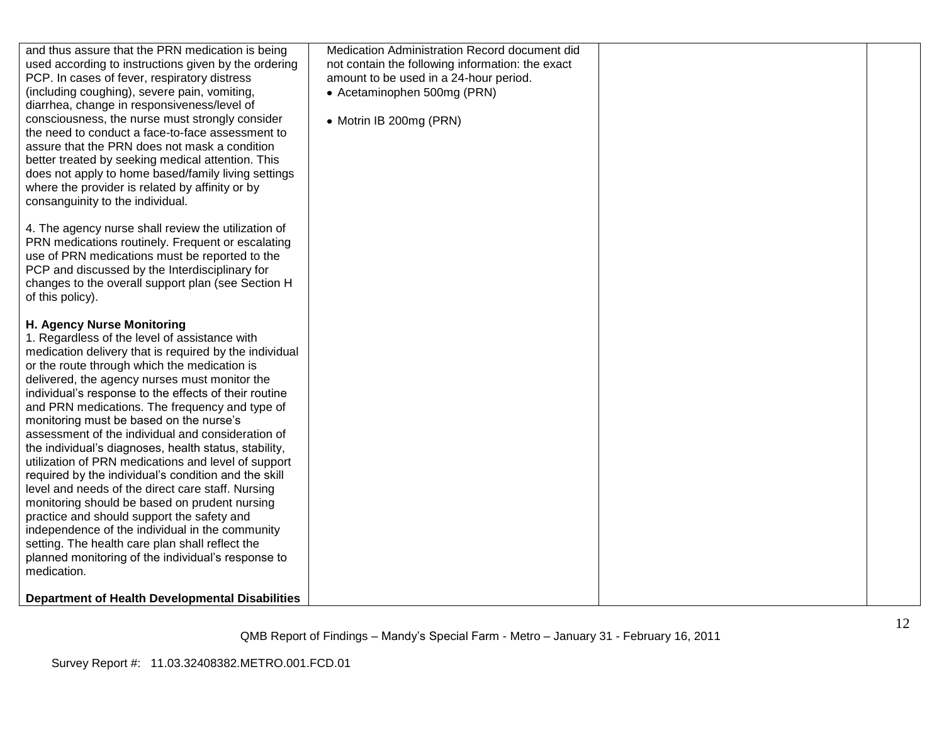| and thus assure that the PRN medication is being<br>used according to instructions given by the ordering<br>PCP. In cases of fever, respiratory distress<br>(including coughing), severe pain, vomiting,<br>diarrhea, change in responsiveness/level of<br>consciousness, the nurse must strongly consider<br>the need to conduct a face-to-face assessment to<br>assure that the PRN does not mask a condition<br>better treated by seeking medical attention. This<br>does not apply to home based/family living settings<br>where the provider is related by affinity or by<br>consanguinity to the individual.                                                                                                                                                                                                                                                                                                                                       | Medication Administration Record document did<br>not contain the following information: the exact<br>amount to be used in a 24-hour period.<br>• Acetaminophen 500mg (PRN)<br>• Motrin IB 200mg (PRN) |  |
|----------------------------------------------------------------------------------------------------------------------------------------------------------------------------------------------------------------------------------------------------------------------------------------------------------------------------------------------------------------------------------------------------------------------------------------------------------------------------------------------------------------------------------------------------------------------------------------------------------------------------------------------------------------------------------------------------------------------------------------------------------------------------------------------------------------------------------------------------------------------------------------------------------------------------------------------------------|-------------------------------------------------------------------------------------------------------------------------------------------------------------------------------------------------------|--|
| 4. The agency nurse shall review the utilization of<br>PRN medications routinely. Frequent or escalating<br>use of PRN medications must be reported to the<br>PCP and discussed by the Interdisciplinary for<br>changes to the overall support plan (see Section H<br>of this policy).                                                                                                                                                                                                                                                                                                                                                                                                                                                                                                                                                                                                                                                                   |                                                                                                                                                                                                       |  |
| H. Agency Nurse Monitoring<br>1. Regardless of the level of assistance with<br>medication delivery that is required by the individual<br>or the route through which the medication is<br>delivered, the agency nurses must monitor the<br>individual's response to the effects of their routine<br>and PRN medications. The frequency and type of<br>monitoring must be based on the nurse's<br>assessment of the individual and consideration of<br>the individual's diagnoses, health status, stability,<br>utilization of PRN medications and level of support<br>required by the individual's condition and the skill<br>level and needs of the direct care staff. Nursing<br>monitoring should be based on prudent nursing<br>practice and should support the safety and<br>independence of the individual in the community<br>setting. The health care plan shall reflect the<br>planned monitoring of the individual's response to<br>medication. |                                                                                                                                                                                                       |  |
| <b>Department of Health Developmental Disabilities</b>                                                                                                                                                                                                                                                                                                                                                                                                                                                                                                                                                                                                                                                                                                                                                                                                                                                                                                   |                                                                                                                                                                                                       |  |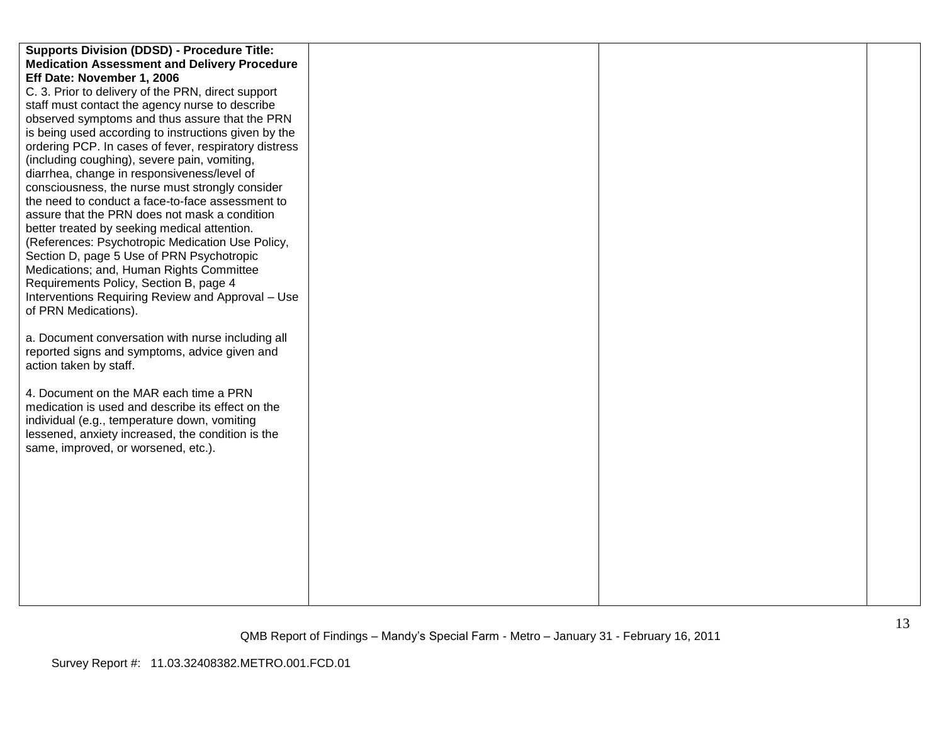| <b>Supports Division (DDSD) - Procedure Title:</b>    |  |  |
|-------------------------------------------------------|--|--|
| <b>Medication Assessment and Delivery Procedure</b>   |  |  |
| Eff Date: November 1, 2006                            |  |  |
| C. 3. Prior to delivery of the PRN, direct support    |  |  |
| staff must contact the agency nurse to describe       |  |  |
| observed symptoms and thus assure that the PRN        |  |  |
| is being used according to instructions given by the  |  |  |
| ordering PCP. In cases of fever, respiratory distress |  |  |
| (including coughing), severe pain, vomiting,          |  |  |
| diarrhea, change in responsiveness/level of           |  |  |
| consciousness, the nurse must strongly consider       |  |  |
| the need to conduct a face-to-face assessment to      |  |  |
| assure that the PRN does not mask a condition         |  |  |
| better treated by seeking medical attention.          |  |  |
| (References: Psychotropic Medication Use Policy,      |  |  |
| Section D, page 5 Use of PRN Psychotropic             |  |  |
| Medications; and, Human Rights Committee              |  |  |
| Requirements Policy, Section B, page 4                |  |  |
| Interventions Requiring Review and Approval - Use     |  |  |
| of PRN Medications).                                  |  |  |
|                                                       |  |  |
| a. Document conversation with nurse including all     |  |  |
| reported signs and symptoms, advice given and         |  |  |
| action taken by staff.                                |  |  |
|                                                       |  |  |
| 4. Document on the MAR each time a PRN                |  |  |
| medication is used and describe its effect on the     |  |  |
| individual (e.g., temperature down, vomiting          |  |  |
| lessened, anxiety increased, the condition is the     |  |  |
| same, improved, or worsened, etc.).                   |  |  |
|                                                       |  |  |
|                                                       |  |  |
|                                                       |  |  |
|                                                       |  |  |
|                                                       |  |  |
|                                                       |  |  |
|                                                       |  |  |
|                                                       |  |  |
|                                                       |  |  |
|                                                       |  |  |
|                                                       |  |  |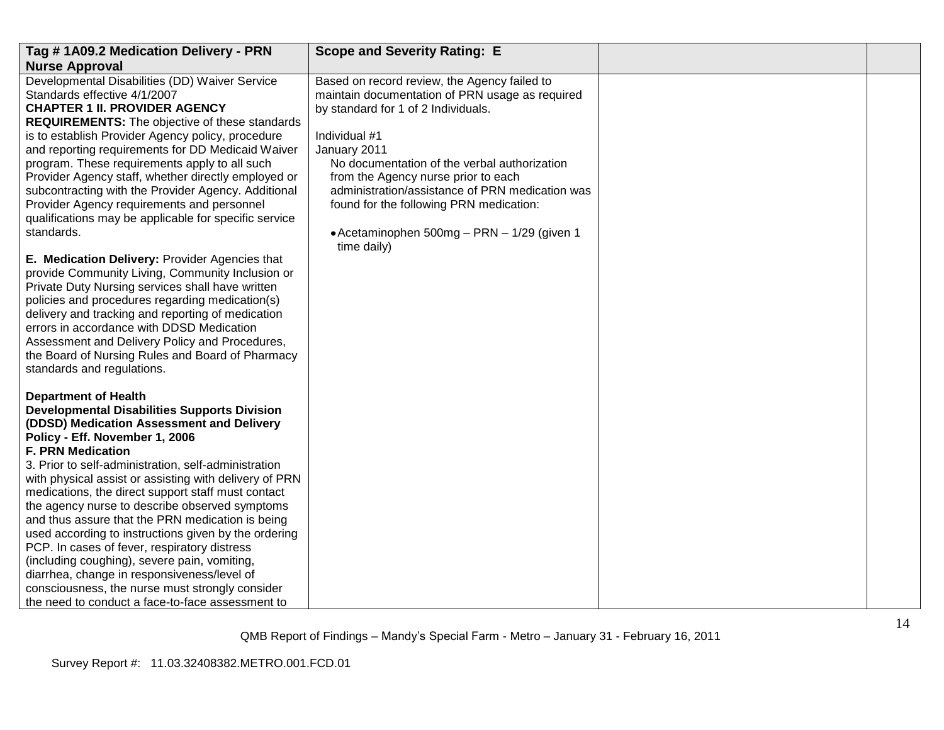| Tag #1A09.2 Medication Delivery - PRN                                                                                                                                                                                                                                                                                                                                                                                                                                                                                                                                                                                                                                              | <b>Scope and Severity Rating: E</b>                                                                                                                                                                                     |  |
|------------------------------------------------------------------------------------------------------------------------------------------------------------------------------------------------------------------------------------------------------------------------------------------------------------------------------------------------------------------------------------------------------------------------------------------------------------------------------------------------------------------------------------------------------------------------------------------------------------------------------------------------------------------------------------|-------------------------------------------------------------------------------------------------------------------------------------------------------------------------------------------------------------------------|--|
| <b>Nurse Approval</b>                                                                                                                                                                                                                                                                                                                                                                                                                                                                                                                                                                                                                                                              |                                                                                                                                                                                                                         |  |
| Developmental Disabilities (DD) Waiver Service<br>Standards effective 4/1/2007<br><b>CHAPTER 1 II. PROVIDER AGENCY</b><br><b>REQUIREMENTS:</b> The objective of these standards<br>is to establish Provider Agency policy, procedure<br>and reporting requirements for DD Medicaid Waiver<br>program. These requirements apply to all such                                                                                                                                                                                                                                                                                                                                         | Based on record review, the Agency failed to<br>maintain documentation of PRN usage as required<br>by standard for 1 of 2 Individuals.<br>Individual #1<br>January 2011<br>No documentation of the verbal authorization |  |
| Provider Agency staff, whether directly employed or<br>subcontracting with the Provider Agency. Additional<br>Provider Agency requirements and personnel<br>qualifications may be applicable for specific service<br>standards.                                                                                                                                                                                                                                                                                                                                                                                                                                                    | from the Agency nurse prior to each<br>administration/assistance of PRN medication was<br>found for the following PRN medication:<br>• Acetaminophen 500mg - PRN - 1/29 (given 1<br>time daily)                         |  |
| E. Medication Delivery: Provider Agencies that<br>provide Community Living, Community Inclusion or<br>Private Duty Nursing services shall have written<br>policies and procedures regarding medication(s)<br>delivery and tracking and reporting of medication<br>errors in accordance with DDSD Medication<br>Assessment and Delivery Policy and Procedures,<br>the Board of Nursing Rules and Board of Pharmacy<br>standards and regulations.                                                                                                                                                                                                                                    |                                                                                                                                                                                                                         |  |
| <b>Department of Health</b><br><b>Developmental Disabilities Supports Division</b><br>(DDSD) Medication Assessment and Delivery<br>Policy - Eff. November 1, 2006<br><b>F. PRN Medication</b><br>3. Prior to self-administration, self-administration<br>with physical assist or assisting with delivery of PRN<br>medications, the direct support staff must contact<br>the agency nurse to describe observed symptoms<br>and thus assure that the PRN medication is being<br>used according to instructions given by the ordering<br>PCP. In cases of fever, respiratory distress<br>(including coughing), severe pain, vomiting,<br>diarrhea, change in responsiveness/level of |                                                                                                                                                                                                                         |  |
| consciousness, the nurse must strongly consider<br>the need to conduct a face-to-face assessment to                                                                                                                                                                                                                                                                                                                                                                                                                                                                                                                                                                                |                                                                                                                                                                                                                         |  |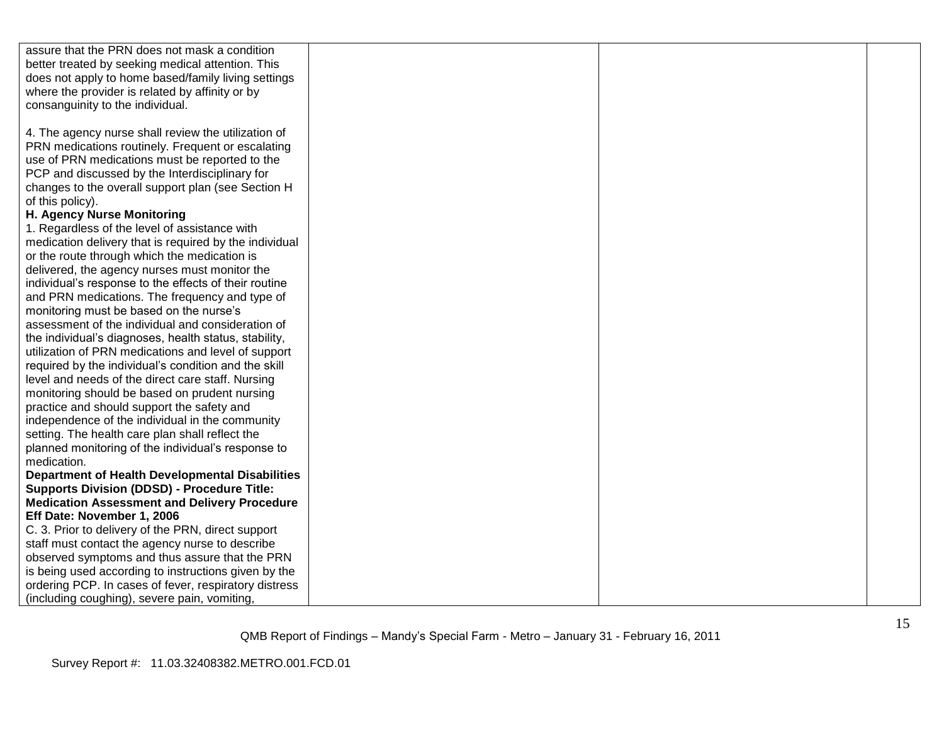| assure that the PRN does not mask a condition          |  |  |
|--------------------------------------------------------|--|--|
| better treated by seeking medical attention. This      |  |  |
| does not apply to home based/family living settings    |  |  |
| where the provider is related by affinity or by        |  |  |
| consanguinity to the individual.                       |  |  |
|                                                        |  |  |
| 4. The agency nurse shall review the utilization of    |  |  |
| PRN medications routinely. Frequent or escalating      |  |  |
| use of PRN medications must be reported to the         |  |  |
| PCP and discussed by the Interdisciplinary for         |  |  |
| changes to the overall support plan (see Section H     |  |  |
| of this policy).                                       |  |  |
| H. Agency Nurse Monitoring                             |  |  |
| 1. Regardless of the level of assistance with          |  |  |
| medication delivery that is required by the individual |  |  |
| or the route through which the medication is           |  |  |
| delivered, the agency nurses must monitor the          |  |  |
| individual's response to the effects of their routine  |  |  |
| and PRN medications. The frequency and type of         |  |  |
| monitoring must be based on the nurse's                |  |  |
| assessment of the individual and consideration of      |  |  |
| the individual's diagnoses, health status, stability,  |  |  |
| utilization of PRN medications and level of support    |  |  |
| required by the individual's condition and the skill   |  |  |
| level and needs of the direct care staff. Nursing      |  |  |
| monitoring should be based on prudent nursing          |  |  |
| practice and should support the safety and             |  |  |
| independence of the individual in the community        |  |  |
| setting. The health care plan shall reflect the        |  |  |
| planned monitoring of the individual's response to     |  |  |
| medication.                                            |  |  |
| <b>Department of Health Developmental Disabilities</b> |  |  |
| <b>Supports Division (DDSD) - Procedure Title:</b>     |  |  |
| <b>Medication Assessment and Delivery Procedure</b>    |  |  |
| Eff Date: November 1, 2006                             |  |  |
| C. 3. Prior to delivery of the PRN, direct support     |  |  |
| staff must contact the agency nurse to describe        |  |  |
| observed symptoms and thus assure that the PRN         |  |  |
| is being used according to instructions given by the   |  |  |
| ordering PCP. In cases of fever, respiratory distress  |  |  |
| (including coughing), severe pain, vomiting,           |  |  |